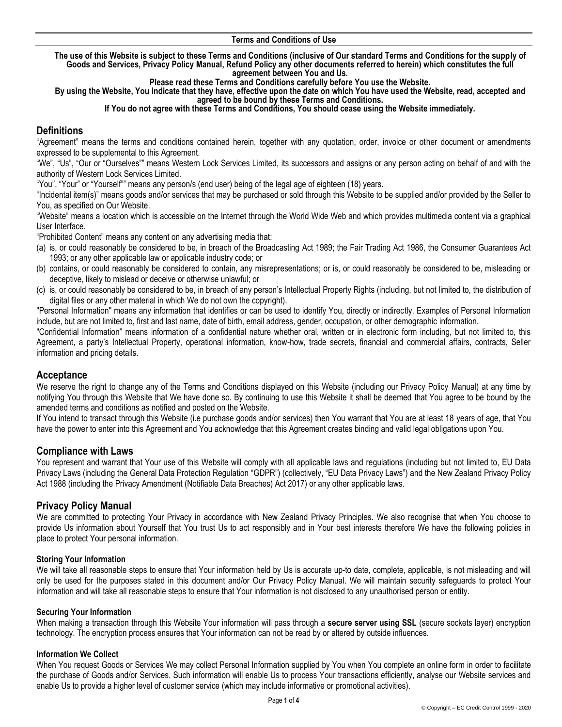#### **Terms and Conditions of Use**

**The use of this Website is subject to these Terms and Conditions (inclusive of Our standard Terms and Conditions for the supply of Goods and Services, Privacy Policy Manual, Refund Policy any other documents referred to herein) which constitutes the full agreement between You and Us.** 

**Please read these Terms and Conditions carefully before You use the Website.** 

**By using the Website, You indicate that they have, effective upon the date on which You have used the Website, read, accepted and agreed to be bound by these Terms and Conditions.**

#### **If You do not agree with these Terms and Conditions, You should cease using the Website immediately.**

# **Definitions**

"Agreement" means the terms and conditions contained herein, together with any quotation, order, invoice or other document or amendments expressed to be supplemental to this Agreement.

"We", "Us", "Our or "Ourselves"" means Western Lock Services Limited, its successors and assigns or any person acting on behalf of and with the authority of Western Lock Services Limited.

"You", "Your" or "Yourself"" means any person/s (end user) being of the legal age of eighteen (18) years.

"Incidental item(s)" means goods and/or services that may be purchased or sold through this Website to be supplied and/or provided by the Seller to You, as specified on Our Website.

"Website" means a location which is accessible on the Internet through the World Wide Web and which provides multimedia content via a graphical User Interface.

"Prohibited Content" means any content on any advertising media that:

- (a) is, or could reasonably be considered to be, in breach of the Broadcasting Act 1989; the Fair Trading Act 1986, the Consumer Guarantees Act 1993; or any other applicable law or applicable industry code; or
- (b) contains, or could reasonably be considered to contain, any misrepresentations; or is, or could reasonably be considered to be, misleading or deceptive, likely to mislead or deceive or otherwise unlawful; or
- (c) is, or could reasonably be considered to be, in breach of any person's Intellectual Property Rights (including, but not limited to, the distribution of digital files or any other material in which We do not own the copyright).

"Personal Information" means any information that identifies or can be used to identify You, directly or indirectly. Examples of Personal Information include, but are not limited to, first and last name, date of birth, email address, gender, occupation, or other demographic information.

"Confidential Information" means information of a confidential nature whether oral, written or in electronic form including, but not limited to, this Agreement, a party's Intellectual Property, operational information, know-how, trade secrets, financial and commercial affairs, contracts, Seller information and pricing details.

## **Acceptance**

We reserve the right to change any of the Terms and Conditions displayed on this Website (including our Privacy Policy Manual) at any time by notifying You through this Website that We have done so. By continuing to use this Website it shall be deemed that You agree to be bound by the amended terms and conditions as notified and posted on the Website.

If You intend to transact through this Website (i.e purchase goods and/or services) then You warrant that You are at least 18 years of age, that You have the power to enter into this Agreement and You acknowledge that this Agreement creates binding and valid legal obligations upon You.

## **Compliance with Laws**

You represent and warrant that Your use of this Website will comply with all applicable laws and regulations (including but not limited to, EU Data Privacy Laws (including the General Data Protection Regulation "GDPR") (collectively, "EU Data Privacy Laws") and the New Zealand Privacy Policy Act 1988 (including the Privacy Amendment (Notifiable Data Breaches) Act 2017) or any other applicable laws.

## **Privacy Policy Manual**

We are committed to protecting Your Privacy in accordance with New Zealand Privacy Principles. We also recognise that when You choose to provide Us information about Yourself that You trust Us to act responsibly and in Your best interests therefore We have the following policies in place to protect Your personal information.

### **Storing Your Information**

We will take all reasonable steps to ensure that Your information held by Us is accurate up-to date, complete, applicable, is not misleading and will only be used for the purposes stated in this document and/or Our Privacy Policy Manual. We will maintain security safeguards to protect Your information and will take all reasonable steps to ensure that Your information is not disclosed to any unauthorised person or entity.

### **Securing Your Information**

When making a transaction through this Website Your information will pass through a **secure server using SSL** (secure sockets layer) encryption technology. The encryption process ensures that Your information can not be read by or altered by outside influences.

### **Information We Collect**

When You request Goods or Services We may collect Personal Information supplied by You when You complete an online form in order to facilitate the purchase of Goods and/or Services. Such information will enable Us to process Your transactions efficiently, analyse our Website services and enable Us to provide a higher level of customer service (which may include informative or promotional activities).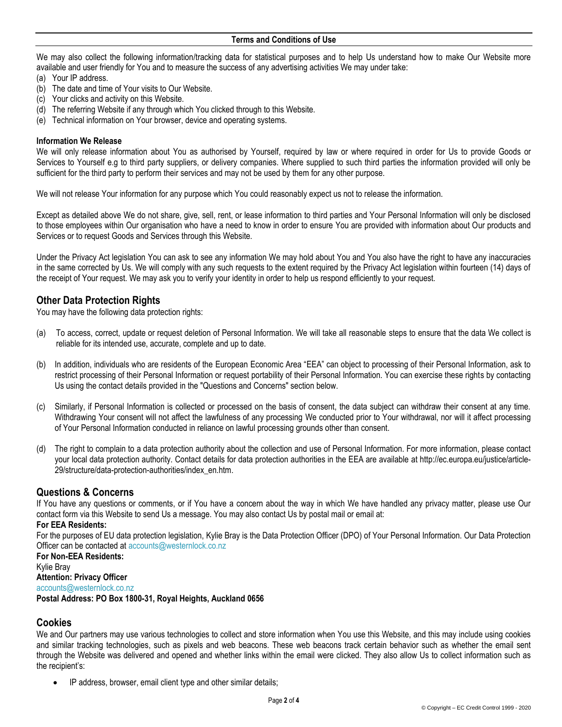We may also collect the following information/tracking data for statistical purposes and to help Us understand how to make Our Website more available and user friendly for You and to measure the success of any advertising activities We may under take:

- (a) Your IP address.
- (b) The date and time of Your visits to Our Website.
- (c) Your clicks and activity on this Website.
- (d) The referring Website if any through which You clicked through to this Website.
- (e) Technical information on Your browser, device and operating systems.

### **Information We Release**

We will only release information about You as authorised by Yourself, required by law or where required in order for Us to provide Goods or Services to Yourself e.g to third party suppliers, or delivery companies. Where supplied to such third parties the information provided will only be sufficient for the third party to perform their services and may not be used by them for any other purpose.

We will not release Your information for any purpose which You could reasonably expect us not to release the information.

Except as detailed above We do not share, give, sell, rent, or lease information to third parties and Your Personal Information will only be disclosed to those employees within Our organisation who have a need to know in order to ensure You are provided with information about Our products and Services or to request Goods and Services through this Website.

Under the Privacy Act legislation You can ask to see any information We may hold about You and You also have the right to have any inaccuracies in the same corrected by Us. We will comply with any such requests to the extent required by the Privacy Act legislation within fourteen (14) days of the receipt of Your request. We may ask you to verify your identity in order to help us respond efficiently to your request.

## **Other Data Protection Rights**

You may have the following data protection rights:

- (a) To access, correct, update or request deletion of Personal Information. We will take all reasonable steps to ensure that the data We collect is reliable for its intended use, accurate, complete and up to date.
- (b) In addition, individuals who are residents of the European Economic Area "EEA" can object to processing of their Personal Information, ask to restrict processing of their Personal Information or request portability of their Personal Information. You can exercise these rights by contacting Us using the contact details provided in the "Questions and Concerns" section below.
- (c) Similarly, if Personal Information is collected or processed on the basis of consent, the data subject can withdraw their consent at any time. Withdrawing Your consent will not affect the lawfulness of any processing We conducted prior to Your withdrawal, nor will it affect processing of Your Personal Information conducted in reliance on lawful processing grounds other than consent.
- (d) The right to complain to a data protection authority about the collection and use of Personal Information. For more information, please contact your local data protection authority. Contact details for data protection authorities in the EEA are available at http://ec.europa.eu/justice/article-29/structure/data-protection-authorities/index\_en.htm.

## **Questions & Concerns**

If You have any questions or comments, or if You have a concern about the way in which We have handled any privacy matter, please use Our [contact form](https://mailchimp.com/contact/) via this Website to send Us a message. You may also contact Us by postal mail or email at:

### **For EEA Residents:**

For the purposes of EU data protection legislation, Kylie Bray is the Data Protection Officer (DPO) of Your Personal Information. Our Data Protection Officer can be contacted at [accounts@westernlock.co.nz](mailto:accounts@westernlock.co.nz)

### **For Non-EEA Residents:**

Kylie Bray

# **Attention: Privacy Officer**

[accounts@westernlock.co.nz](mailto:accounts@westernlock.co.nz) **Postal Address: PO Box 1800-31, Royal Heights, Auckland 0656**

## **Cookies**

We and Our partners may use various technologies to collect and store information when You use this Website, and this may include using cookies and similar tracking technologies, such as pixels and web beacons. These web beacons track certain behavior such as whether the email sent through the Website was delivered and opened and whether links within the email were clicked. They also allow Us to collect information such as the recipient's:

• IP address, browser, email client type and other similar details;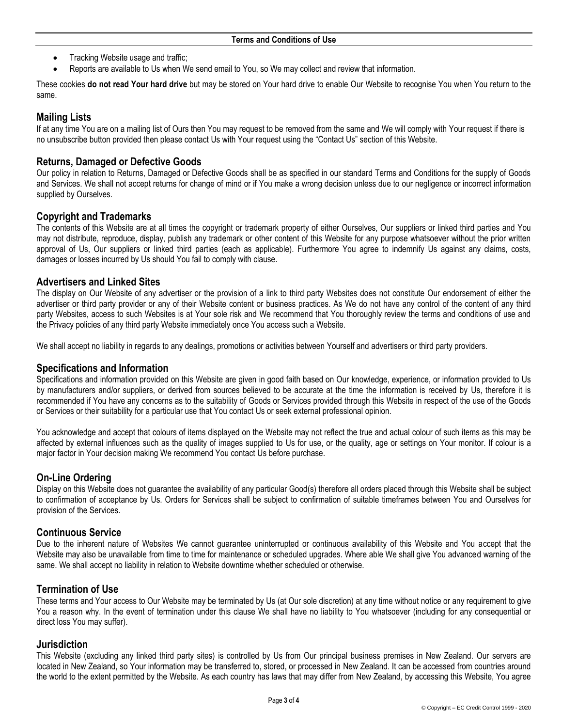- Tracking Website usage and traffic;
- Reports are available to Us when We send email to You, so We may collect and review that information.

These cookies **do not read Your hard drive** but may be stored on Your hard drive to enable Our Website to recognise You when You return to the same.

# **Mailing Lists**

If at any time You are on a mailing list of Ours then You may request to be removed from the same and We will comply with Your request if there is no unsubscribe button provided then please contact Us with Your request using the "Contact Us" section of this Website.

## **Returns, Damaged or Defective Goods**

Our policy in relation to Returns, Damaged or Defective Goods shall be as specified in our standard Terms and Conditions for the supply of Goods and Services. We shall not accept returns for change of mind or if You make a wrong decision unless due to our negligence or incorrect information supplied by Ourselves.

## **Copyright and Trademarks**

The contents of this Website are at all times the copyright or trademark property of either Ourselves, Our suppliers or linked third parties and You may not distribute, reproduce, display, publish any trademark or other content of this Website for any purpose whatsoever without the prior written approval of Us, Our suppliers or linked third parties (each as applicable). Furthermore You agree to indemnify Us against any claims, costs, damages or losses incurred by Us should You fail to comply with clause.

## **Advertisers and Linked Sites**

The display on Our Website of any advertiser or the provision of a link to third party Websites does not constitute Our endorsement of either the advertiser or third party provider or any of their Website content or business practices. As We do not have any control of the content of any third party Websites, access to such Websites is at Your sole risk and We recommend that You thoroughly review the terms and conditions of use and the Privacy policies of any third party Website immediately once You access such a Website.

We shall accept no liability in regards to any dealings, promotions or activities between Yourself and advertisers or third party providers.

## **Specifications and Information**

Specifications and information provided on this Website are given in good faith based on Our knowledge, experience, or information provided to Us by manufacturers and/or suppliers, or derived from sources believed to be accurate at the time the information is received by Us, therefore it is recommended if You have any concerns as to the suitability of Goods or Services provided through this Website in respect of the use of the Goods or Services or their suitability for a particular use that You contact Us or seek external professional opinion.

You acknowledge and accept that colours of items displayed on the Website may not reflect the true and actual colour of such items as this may be affected by external influences such as the quality of images supplied to Us for use, or the quality, age or settings on Your monitor. If colour is a major factor in Your decision making We recommend You contact Us before purchase.

## **On-Line Ordering**

Display on this Website does not guarantee the availability of any particular Good(s) therefore all orders placed through this Website shall be subject to confirmation of acceptance by Us. Orders for Services shall be subject to confirmation of suitable timeframes between You and Ourselves for provision of the Services.

## **Continuous Service**

Due to the inherent nature of Websites We cannot guarantee uninterrupted or continuous availability of this Website and You accept that the Website may also be unavailable from time to time for maintenance or scheduled upgrades. Where able We shall give You advanced warning of the same. We shall accept no liability in relation to Website downtime whether scheduled or otherwise.

## **Termination of Use**

These terms and Your access to Our Website may be terminated by Us (at Our sole discretion) at any time without notice or any requirement to give You a reason why. In the event of termination under this clause We shall have no liability to You whatsoever (including for any consequential or direct loss You may suffer).

## **Jurisdiction**

This Website (excluding any linked third party sites) is controlled by Us from Our principal business premises in New Zealand. Our servers are located in New Zealand, so Your information may be transferred to, stored, or processed in New Zealand. It can be accessed from countries around the world to the extent permitted by the Website. As each country has laws that may differ from New Zealand, by accessing this Website, You agree